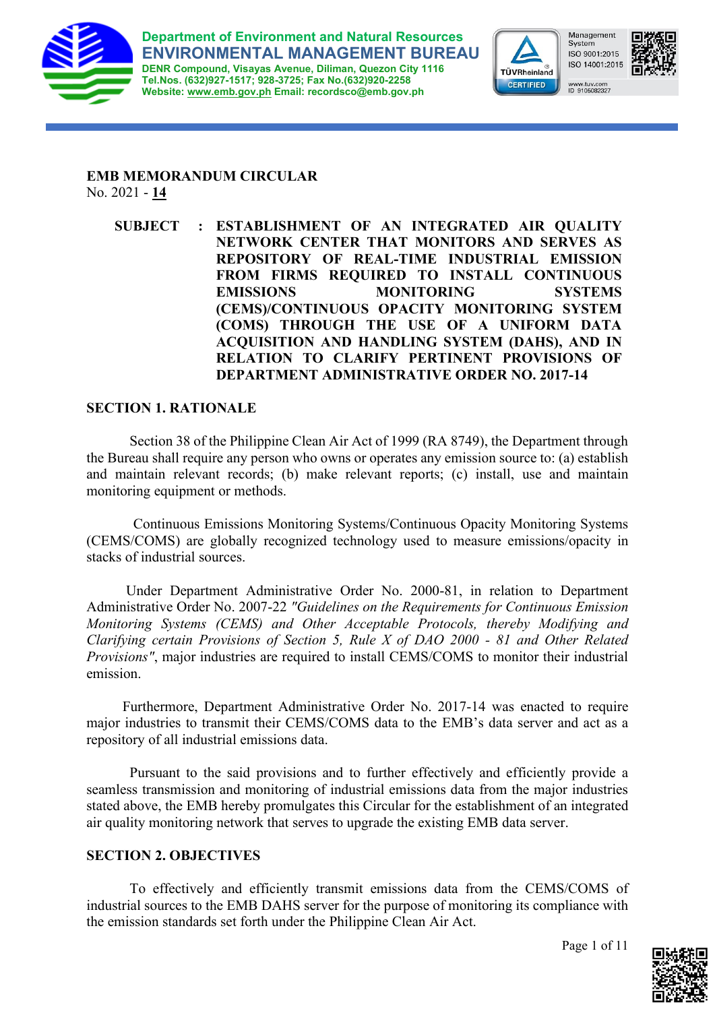



Management<br>System ISO 9001:2015 ISO 14001:2015 www.tuv.com<br>ID 9105082327



**EMB MEMORANDUM CIRCULAR**  No. 2021 - **14**

**SUBJECT : ESTABLISHMENT OF AN INTEGRATED AIR QUALITY NETWORK CENTER THAT MONITORS AND SERVES AS REPOSITORY OF REAL-TIME INDUSTRIAL EMISSION FROM FIRMS REQUIRED TO INSTALL CONTINUOUS EMISSIONS MONITORING SYSTEMS (CEMS)/CONTINUOUS OPACITY MONITORING SYSTEM (COMS) THROUGH THE USE OF A UNIFORM DATA ACQUISITION AND HANDLING SYSTEM (DAHS), AND IN RELATION TO CLARIFY PERTINENT PROVISIONS OF DEPARTMENT ADMINISTRATIVE ORDER NO. 2017-14**

# **SECTION 1. RATIONALE**

Section 38 of the Philippine Clean Air Act of 1999 (RA 8749), the Department through the Bureau shall require any person who owns or operates any emission source to: (a) establish and maintain relevant records; (b) make relevant reports; (c) install, use and maintain monitoring equipment or methods.

Continuous Emissions Monitoring Systems/Continuous Opacity Monitoring Systems (CEMS/COMS) are globally recognized technology used to measure emissions/opacity in stacks of industrial sources.

 Under Department Administrative Order No. 2000-81, in relation to Department Administrative Order No. 2007-22 *"Guidelines on the Requirements for Continuous Emission Monitoring Systems (CEMS) and Other Acceptable Protocols, thereby Modifying and Clarifying certain Provisions of Section 5, Rule X of DAO 2000 - 81 and Other Related Provisions"*, major industries are required to install CEMS/COMS to monitor their industrial emission.

 Furthermore, Department Administrative Order No. 2017-14 was enacted to require major industries to transmit their CEMS/COMS data to the EMB's data server and act as a repository of all industrial emissions data.

Pursuant to the said provisions and to further effectively and efficiently provide a seamless transmission and monitoring of industrial emissions data from the major industries stated above, the EMB hereby promulgates this Circular for the establishment of an integrated air quality monitoring network that serves to upgrade the existing EMB data server.

# **SECTION 2. OBJECTIVES**

To effectively and efficiently transmit emissions data from the CEMS/COMS of industrial sources to the EMB DAHS server for the purpose of monitoring its compliance with the emission standards set forth under the Philippine Clean Air Act.

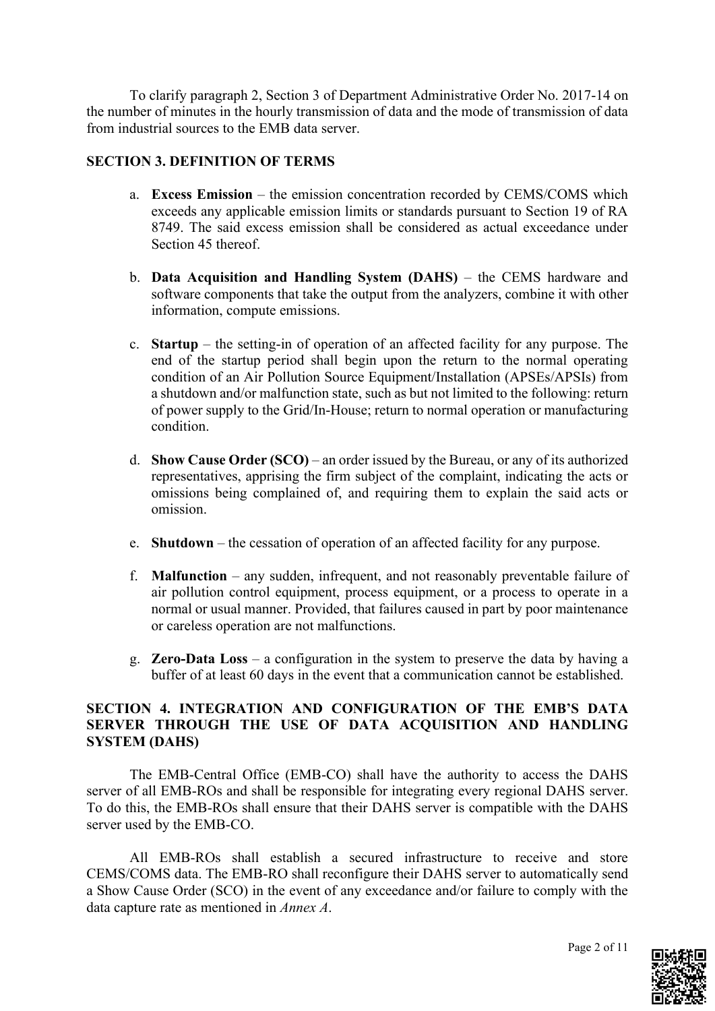To clarify paragraph 2, Section 3 of Department Administrative Order No. 2017-14 on the number of minutes in the hourly transmission of data and the mode of transmission of data from industrial sources to the EMB data server.

# **SECTION 3. DEFINITION OF TERMS**

- a. **Excess Emission**  the emission concentration recorded by CEMS/COMS which exceeds any applicable emission limits or standards pursuant to Section 19 of RA 8749. The said excess emission shall be considered as actual exceedance under Section 45 thereof.
- b. **Data Acquisition and Handling System (DAHS)**  the CEMS hardware and software components that take the output from the analyzers, combine it with other information, compute emissions.
- c. **Startup**  the setting-in of operation of an affected facility for any purpose. The end of the startup period shall begin upon the return to the normal operating condition of an Air Pollution Source Equipment/Installation (APSEs/APSIs) from a shutdown and/or malfunction state, such as but not limited to the following: return of power supply to the Grid/In-House; return to normal operation or manufacturing condition.
- d. **Show Cause Order (SCO)** an order issued by the Bureau, or any of its authorized representatives, apprising the firm subject of the complaint, indicating the acts or omissions being complained of, and requiring them to explain the said acts or omission.
- e. **Shutdown**  the cessation of operation of an affected facility for any purpose.
- f. **Malfunction**  any sudden, infrequent, and not reasonably preventable failure of air pollution control equipment, process equipment, or a process to operate in a normal or usual manner. Provided, that failures caused in part by poor maintenance or careless operation are not malfunctions.
- g. **Zero-Data Loss** a configuration in the system to preserve the data by having a buffer of at least 60 days in the event that a communication cannot be established.

# **SECTION 4. INTEGRATION AND CONFIGURATION OF THE EMB'S DATA SERVER THROUGH THE USE OF DATA ACQUISITION AND HANDLING SYSTEM (DAHS)**

The EMB-Central Office (EMB-CO) shall have the authority to access the DAHS server of all EMB-ROs and shall be responsible for integrating every regional DAHS server. To do this, the EMB-ROs shall ensure that their DAHS server is compatible with the DAHS server used by the EMB-CO.

All EMB-ROs shall establish a secured infrastructure to receive and store CEMS/COMS data. The EMB-RO shall reconfigure their DAHS server to automatically send a Show Cause Order (SCO) in the event of any exceedance and/or failure to comply with the data capture rate as mentioned in *Annex A*.

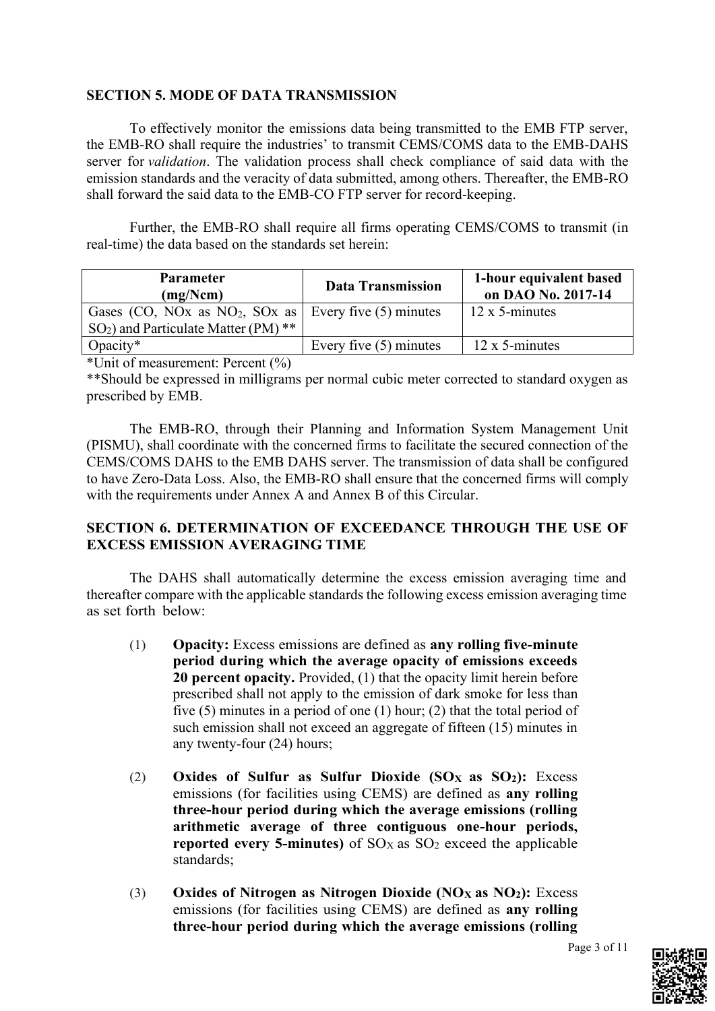# **SECTION 5. MODE OF DATA TRANSMISSION**

To effectively monitor the emissions data being transmitted to the EMB FTP server, the EMB-RO shall require the industries' to transmit CEMS/COMS data to the EMB-DAHS server for *validation*. The validation process shall check compliance of said data with the emission standards and the veracity of data submitted, among others. Thereafter, the EMB-RO shall forward the said data to the EMB-CO FTP server for record-keeping.

Further, the EMB-RO shall require all firms operating CEMS/COMS to transmit (in real-time) the data based on the standards set herein:

| <b>Parameter</b><br>(mg/Ncm)                                        | <b>Data Transmission</b> | 1-hour equivalent based<br>on DAO No. 2017-14 |
|---------------------------------------------------------------------|--------------------------|-----------------------------------------------|
| Gases (CO, NOx as NO <sub>2</sub> , SOx as   Every five (5) minutes |                          | $12 \times 5$ -minutes                        |
| $SO_2$ ) and Particulate Matter (PM) **                             |                          |                                               |
| Opacity $*$                                                         | Every five $(5)$ minutes | 12 x 5-minutes                                |

\*Unit of measurement: Percent (%)

\*\*Should be expressed in milligrams per normal cubic meter corrected to standard oxygen as prescribed by EMB.

The EMB-RO, through their Planning and Information System Management Unit (PISMU), shall coordinate with the concerned firms to facilitate the secured connection of the CEMS/COMS DAHS to the EMB DAHS server. The transmission of data shall be configured to have Zero-Data Loss. Also, the EMB-RO shall ensure that the concerned firms will comply with the requirements under Annex A and Annex B of this Circular.

# **SECTION 6. DETERMINATION OF EXCEEDANCE THROUGH THE USE OF EXCESS EMISSION AVERAGING TIME**

The DAHS shall automatically determine the excess emission averaging time and thereafter compare with the applicable standards the following excess emission averaging time as set forth below:

- (1) **Opacity:** Excess emissions are defined as **any rolling five-minute period during which the average opacity of emissions exceeds 20 percent opacity.** Provided, (1) that the opacity limit herein before prescribed shall not apply to the emission of dark smoke for less than five (5) minutes in a period of one (1) hour; (2) that the total period of such emission shall not exceed an aggregate of fifteen (15) minutes in any twenty-four (24) hours;
- (2) **Oxides of Sulfur as Sulfur Dioxide (SOX as SO2):** Excess emissions (for facilities using CEMS) are defined as **any rolling three-hour period during which the average emissions (rolling arithmetic average of three contiguous one-hour periods, reported every 5-minutes)** of  $SO<sub>X</sub>$  as  $SO<sub>2</sub>$  exceed the applicable standards;
- (3) **Oxides of Nitrogen as Nitrogen Dioxide (NOX as NO2):** Excess emissions (for facilities using CEMS) are defined as **any rolling three-hour period during which the average emissions (rolling**

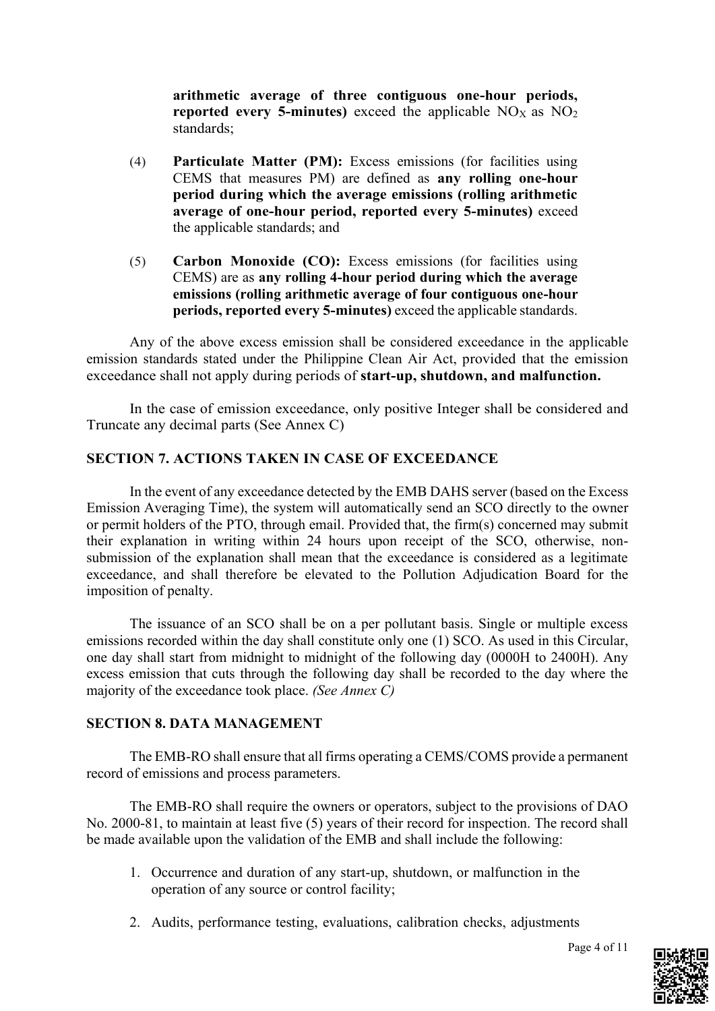**arithmetic average of three contiguous one-hour periods, reported every 5-minutes)** exceed the applicable  $NO<sub>X</sub>$  as  $NO<sub>2</sub>$ standards;

- (4) **Particulate Matter (PM):** Excess emissions (for facilities using CEMS that measures PM) are defined as **any rolling one-hour period during which the average emissions (rolling arithmetic average of one-hour period, reported every 5-minutes)** exceed the applicable standards; and
- (5) **Carbon Monoxide (CO):** Excess emissions (for facilities using CEMS) are as **any rolling 4-hour period during which the average emissions (rolling arithmetic average of four contiguous one-hour periods, reported every 5-minutes)** exceed the applicable standards.

Any of the above excess emission shall be considered exceedance in the applicable emission standards stated under the Philippine Clean Air Act, provided that the emission exceedance shall not apply during periods of **start-up, shutdown, and malfunction.** 

In the case of emission exceedance, only positive Integer shall be considered and Truncate any decimal parts (See Annex C)

# **SECTION 7. ACTIONS TAKEN IN CASE OF EXCEEDANCE**

In the event of any exceedance detected by the EMB DAHS server (based on the Excess Emission Averaging Time), the system will automatically send an SCO directly to the owner or permit holders of the PTO, through email. Provided that, the firm(s) concerned may submit their explanation in writing within 24 hours upon receipt of the SCO, otherwise, nonsubmission of the explanation shall mean that the exceedance is considered as a legitimate exceedance, and shall therefore be elevated to the Pollution Adjudication Board for the imposition of penalty.

The issuance of an SCO shall be on a per pollutant basis. Single or multiple excess emissions recorded within the day shall constitute only one (1) SCO. As used in this Circular, one day shall start from midnight to midnight of the following day (0000H to 2400H). Any excess emission that cuts through the following day shall be recorded to the day where the majority of the exceedance took place. *(See Annex C)*

#### **SECTION 8. DATA MANAGEMENT**

The EMB-RO shall ensure that all firms operating a CEMS/COMS provide a permanent record of emissions and process parameters.

The EMB-RO shall require the owners or operators, subject to the provisions of DAO No. 2000-81, to maintain at least five (5) years of their record for inspection. The record shall be made available upon the validation of the EMB and shall include the following:

- 1. Occurrence and duration of any start-up, shutdown, or malfunction in the operation of any source or control facility;
- 2. Audits, performance testing, evaluations, calibration checks, adjustments

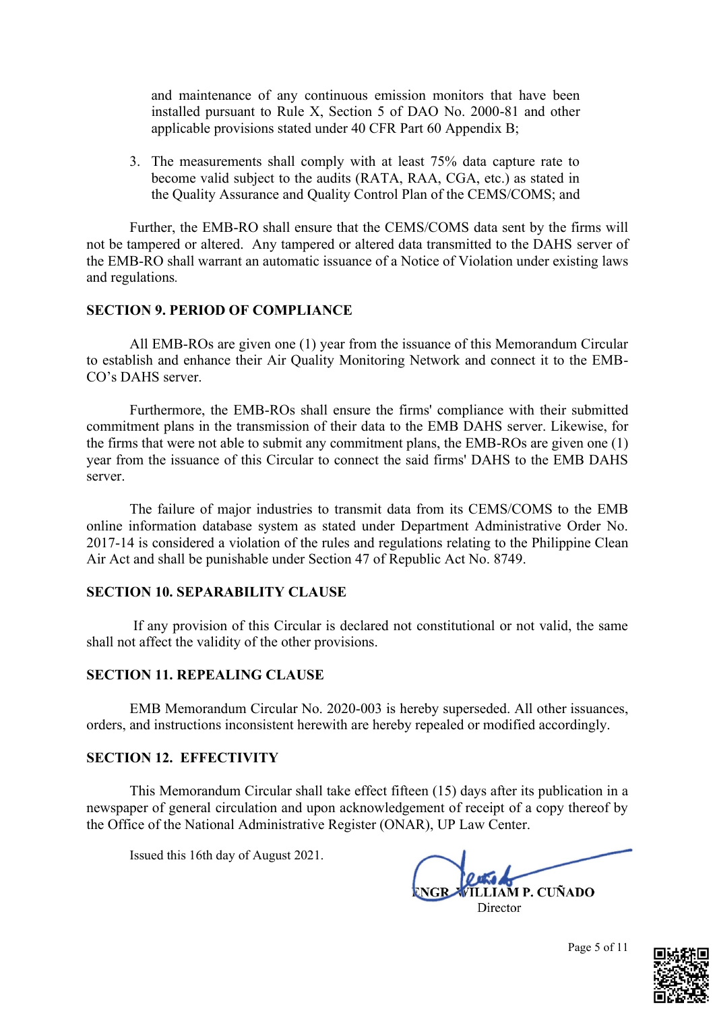and maintenance of any continuous emission monitors that have been installed pursuant to Rule X, Section 5 of DAO No. 2000-81 and other applicable provisions stated under 40 CFR Part 60 Appendix B;

3. The measurements shall comply with at least 75% data capture rate to become valid subject to the audits (RATA, RAA, CGA, etc.) as stated in the Quality Assurance and Quality Control Plan of the CEMS/COMS; and

Further, the EMB-RO shall ensure that the CEMS/COMS data sent by the firms will not be tampered or altered. Any tampered or altered data transmitted to the DAHS server of the EMB-RO shall warrant an automatic issuance of a Notice of Violation under existing laws and regulations*.*

#### **SECTION 9. PERIOD OF COMPLIANCE**

All EMB-ROs are given one (1) year from the issuance of this Memorandum Circular to establish and enhance their Air Quality Monitoring Network and connect it to the EMB-CO's DAHS server.

Furthermore, the EMB-ROs shall ensure the firms' compliance with their submitted commitment plans in the transmission of their data to the EMB DAHS server. Likewise, for the firms that were not able to submit any commitment plans, the EMB-ROs are given one (1) year from the issuance of this Circular to connect the said firms' DAHS to the EMB DAHS server.

The failure of major industries to transmit data from its CEMS/COMS to the EMB online information database system as stated under Department Administrative Order No. 2017-14 is considered a violation of the rules and regulations relating to the Philippine Clean Air Act and shall be punishable under Section 47 of Republic Act No. 8749.

#### **SECTION 10. SEPARABILITY CLAUSE**

If any provision of this Circular is declared not constitutional or not valid, the same shall not affect the validity of the other provisions.

#### **SECTION 11. REPEALING CLAUSE**

EMB Memorandum Circular No. 2020-003 is hereby superseded. All other issuances, orders, and instructions inconsistent herewith are hereby repealed or modified accordingly.

#### **SECTION 12. EFFECTIVITY**

This Memorandum Circular shall take effect fifteen (15) days after its publication in a newspaper of general circulation and upon acknowledgement of receipt of a copy thereof by the Office of the National Administrative Register (ONAR), UP Law Center.

Issued this 16th day of August 2021.

**LIAM P. CUÑADO** Director

Page 5 of 11

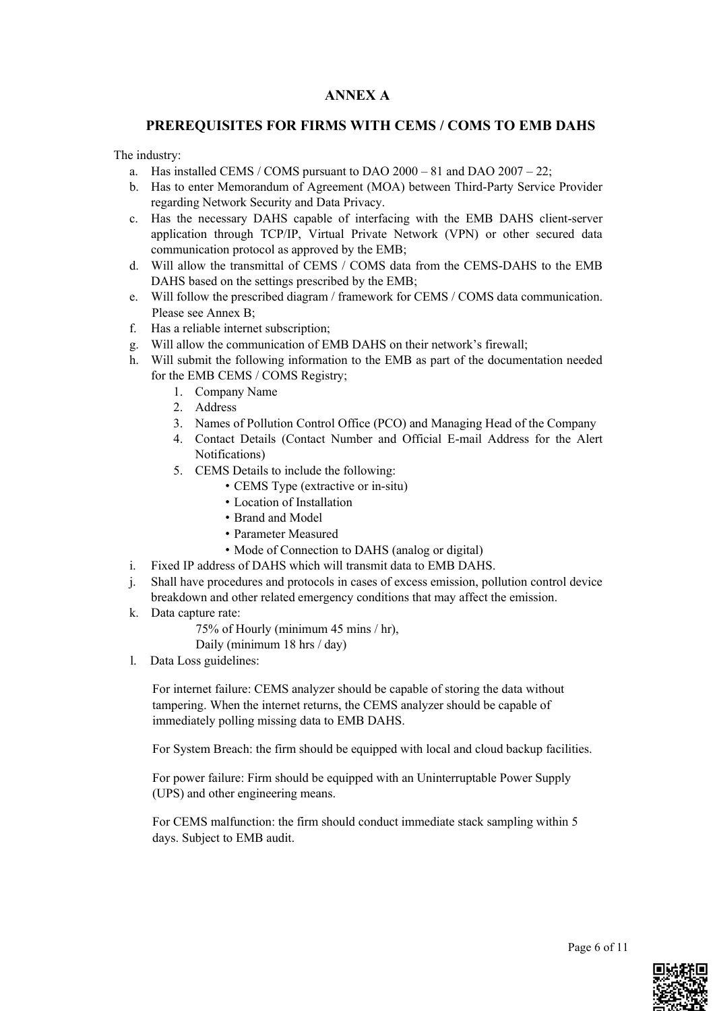# **ANNEX A**

#### **PREREQUISITES FOR FIRMS WITH CEMS / COMS TO EMB DAHS**

The industry:

- a. Has installed CEMS / COMS pursuant to DAO 2000 81 and DAO 2007 22;
- b. Has to enter Memorandum of Agreement (MOA) between Third-Party Service Provider regarding Network Security and Data Privacy.
- c. Has the necessary DAHS capable of interfacing with the EMB DAHS client-server application through TCP/IP, Virtual Private Network (VPN) or other secured data communication protocol as approved by the EMB;
- d. Will allow the transmittal of CEMS / COMS data from the CEMS-DAHS to the EMB DAHS based on the settings prescribed by the EMB;
- e. Will follow the prescribed diagram / framework for CEMS / COMS data communication. Please see Annex B;
- f. Has a reliable internet subscription;
- g. Will allow the communication of EMB DAHS on their network's firewall;
- h. Will submit the following information to the EMB as part of the documentation needed for the EMB CEMS / COMS Registry;
	- 1. Company Name
	- 2. Address
	- 3. Names of Pollution Control Office (PCO) and Managing Head of the Company
	- 4. Contact Details (Contact Number and Official E-mail Address for the Alert Notifications)
	- 5. CEMS Details to include the following:
		- CEMS Type (extractive or in-situ)
		- Location of Installation
		- Brand and Model
		- Parameter Measured
		- Mode of Connection to DAHS (analog or digital)
- i. Fixed IP address of DAHS which will transmit data to EMB DAHS.
- j. Shall have procedures and protocols in cases of excess emission, pollution control device breakdown and other related emergency conditions that may affect the emission.
- k. Data capture rate:

75% of Hourly (minimum 45 mins / hr),

Daily (minimum 18 hrs / day)

l. Data Loss guidelines:

For internet failure: CEMS analyzer should be capable of storing the data without tampering. When the internet returns, the CEMS analyzer should be capable of immediately polling missing data to EMB DAHS.

For System Breach: the firm should be equipped with local and cloud backup facilities.

For power failure: Firm should be equipped with an Uninterruptable Power Supply (UPS) and other engineering means.

For CEMS malfunction: the firm should conduct immediate stack sampling within 5 days. Subject to EMB audit.

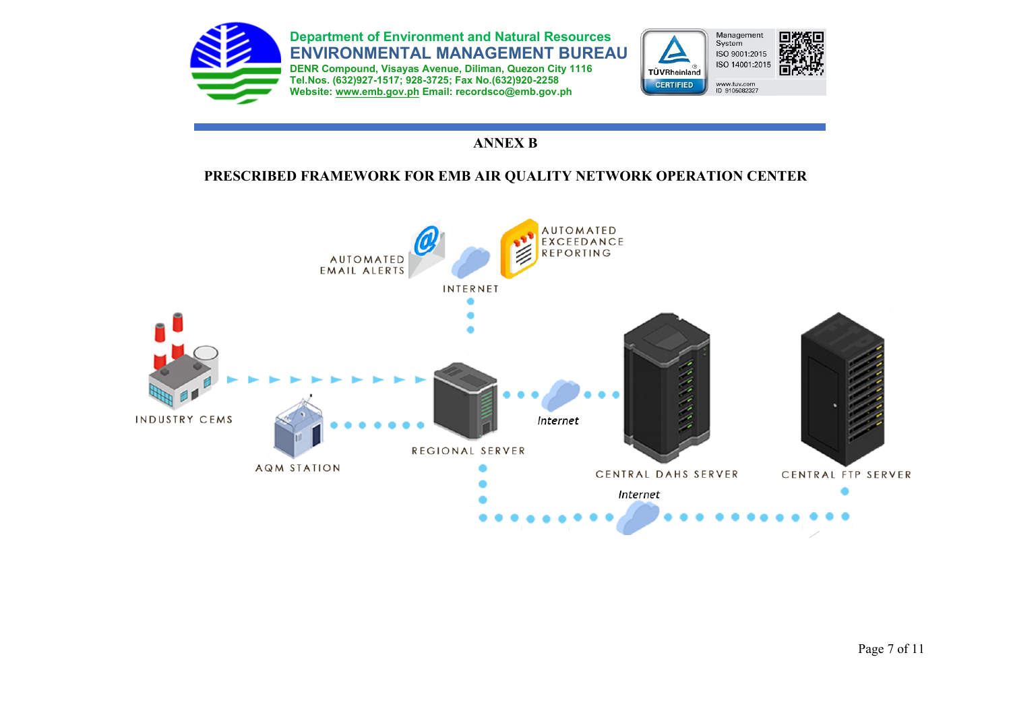

# **ANNEX B**

# **PRESCRIBED FRAMEWORK FOR EMB AIR QUALITY NETWORK OPERATION CENTER**

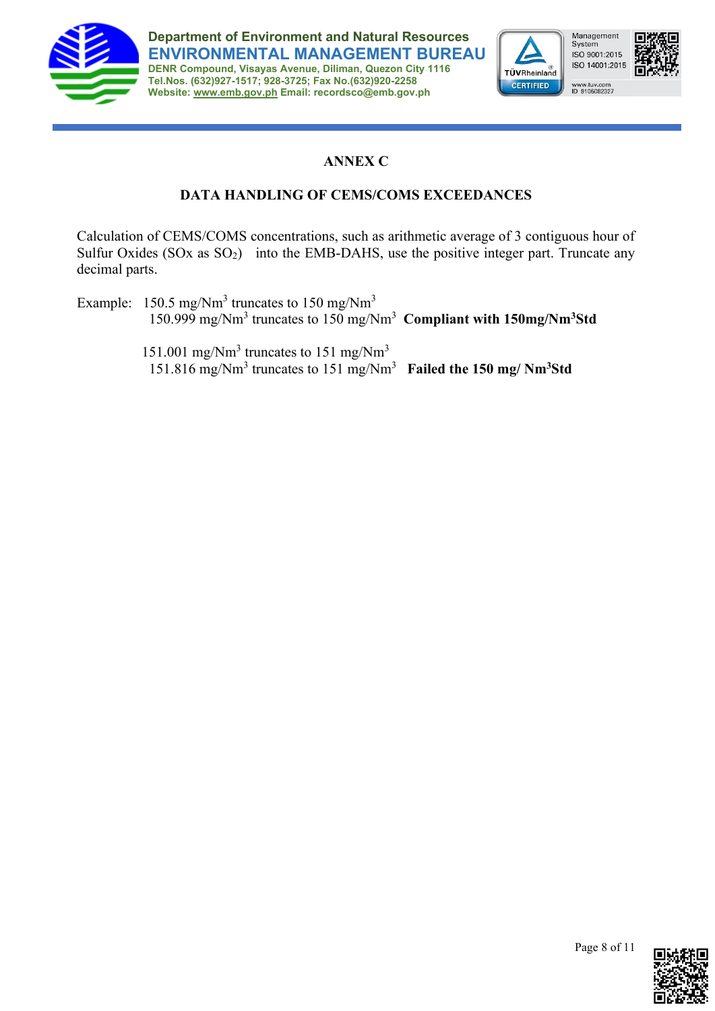

**Department of Environment and Natural Resources ENVIRONMENTAL MANAGEMENT BUREAU**

**DENR Compound, Visayas Avenue, Diliman, Quezon City 1116 Tel.Nos. (632)927-1517; 928-3725; Fax No.(632)920-2258 Website: [www.emb.gov.ph](http://www.emb.gov.ph/) Email: recordsco@emb.gov.ph**



Management<br>System ISO 9001:2015 ISO 14001:2015



www.tuv.com<br>ID 9105082327

# **ANNEX C**

# **DATA HANDLING OF CEMS/COMS EXCEEDANCES**

Calculation of CEMS/COMS concentrations, such as arithmetic average of 3 contiguous hour of Sulfur Oxides  $(SOx \text{ as } SO_2)$  into the EMB-DAHS, use the positive integer part. Truncate any decimal parts.

Example:  $150.5 \text{ mg/Nm}^3$  truncates to  $150 \text{ mg/Nm}^3$ 150.999 mg/Nm<sup>3</sup> truncates to 150 mg/Nm<sup>3</sup> **Compliant with 150mg/Nm<sup>3</sup>Std**

151.001 mg/ $Nm^3$  truncates to 151 mg/ $Nm^3$ 151.816 mg/Nm<sup>3</sup> truncates to 151 mg/Nm<sup>3</sup> **Failed the 150 mg/ Nm3Std**

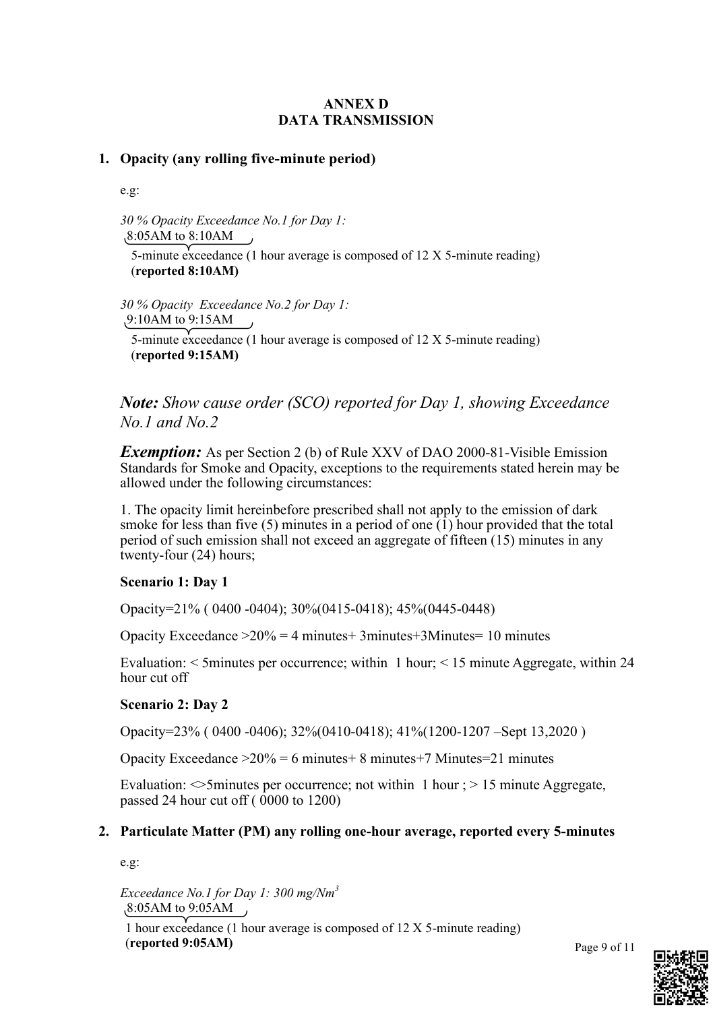# **ANNEX D DATA TRANSMISSION**

# **1. Opacity (any rolling five-minute period)**

e.g:

*30 % Opacity Exceedance No.1 for Day 1:* 8:05AM to 8:10AM

5-minute exceedance (1 hour average is composed of 12 X 5-minute reading) (**reported 8:10AM)**

*30 % Opacity Exceedance No.2 for Day 1:*

9:10AM to 9:15AM

5-minute exceedance (1 hour average is composed of 12 X 5-minute reading) (**reported 9:15AM)**

# *Note: Show cause order (SCO) reported for Day 1, showing Exceedance No.1 and No.2*

*Exemption:* As per Section 2 (b) of Rule XXV of DAO 2000-81-Visible Emission Standards for Smoke and Opacity, exceptions to the requirements stated herein may be allowed under the following circumstances:

1. The opacity limit hereinbefore prescribed shall not apply to the emission of dark smoke for less than five (5) minutes in a period of one  $(1)$  hour provided that the total period of such emission shall not exceed an aggregate of fifteen (15) minutes in any twenty-four (24) hours;

# **Scenario 1: Day 1**

Opacity=21% ( 0400 -0404); 30%(0415-0418); 45%(0445-0448)

Opacity Exceedance  $>20\% = 4$  minutes + 3minutes + 3Minutes = 10 minutes

Evaluation: < 5minutes per occurrence; within 1 hour; < 15 minute Aggregate, within 24 hour cut off

# **Scenario 2: Day 2**

Opacity=23% ( 0400 -0406); 32%(0410-0418); 41%(1200-1207 –Sept 13,2020 )

Opacity Exceedance  $>20\% = 6$  minutes  $+ 8$  minutes  $+ 7$  Minutes  $= 21$  minutes

Evaluation:  $\leq$ 5minutes per occurrence; not within 1 hour ; > 15 minute Aggregate, passed 24 hour cut off  $(0000 \text{ to } 1200)$ 

# **2. Particulate Matter (PM) any rolling one-hour average, reported every 5-minutes**

e.g:

*Exceedance No.1 for Day 1: 300 mg/Nm<sup>3</sup>* 8:05AM to 9:05AM 1 hour exceedance (1 hour average is composed of 12 X 5-minute reading)

(**reported 9:05AM)**

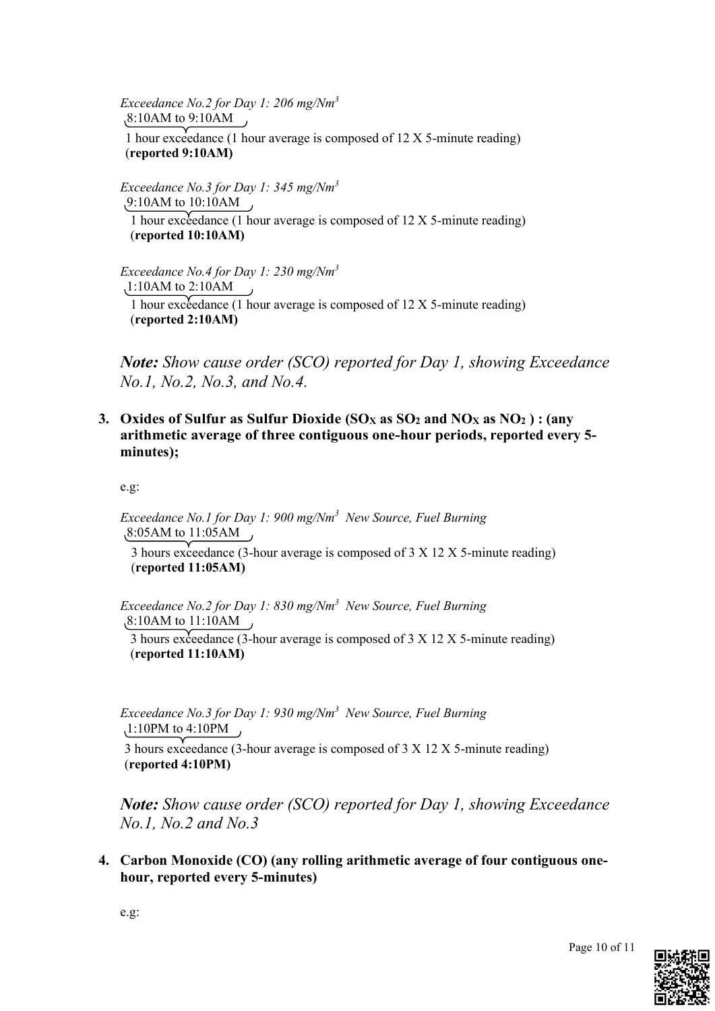*Exceedance No.2 for Day 1: 206 mg/Nm<sup>3</sup>* 8:10AM to 9:10AM 1 hour exceedance (1 hour average is composed of 12 X 5-minute reading) (**reported 9:10AM)**

*Exceedance No.3 for Day 1: 345 mg/Nm<sup>3</sup>* 9:10AM to 10:10AM 1 hour exceedance (1 hour average is composed of  $12 X 5$ -minute reading) (**reported 10:10AM)**

*Exceedance No.4 for Day 1: 230 mg/Nm<sup>3</sup>* 1:10AM to 2:10AM 1 hour exceedance (1 hour average is composed of 12 X 5-minute reading) (**reported 2:10AM)**

*Note: Show cause order (SCO) reported for Day 1, showing Exceedance No.1, No.2, No.3, and No.4.* 

**3. Oxides of Sulfur as Sulfur Dioxide (SO<sup>X</sup> as SO<sup>2</sup> and NO<sup>X</sup> as NO<sup>2</sup> ) : (any arithmetic average of three contiguous one-hour periods, reported every 5 minutes);**

e.g:

*Exceedance No.1 for Day 1: 900 mg/Nm<sup>3</sup> New Source, Fuel Burning*  8:05AM to 11:05AM

3 hours exceedance (3-hour average is composed of 3 X 12 X 5-minute reading) (**reported 11:05AM)**

*Exceedance No.2 for Day 1: 830 mg/Nm<sup>3</sup> New Source, Fuel Burning* 8:10AM to 11:10AM

3 hours exceedance (3-hour average is composed of 3 X 12 X 5-minute reading) (**reported 11:10AM)**

*Exceedance No.3 for Day 1: 930 mg/Nm<sup>3</sup> New Source, Fuel Burning* 1:10PM to 4:10PM

3 hours exceedance (3-hour average is composed of 3 X 12 X 5-minute reading) (**reported 4:10PM)**

*Note: Show cause order (SCO) reported for Day 1, showing Exceedance No.1, No.2 and No.3*

**4. Carbon Monoxide (CO) (any rolling arithmetic average of four contiguous onehour, reported every 5-minutes)**



Page 10 of 11